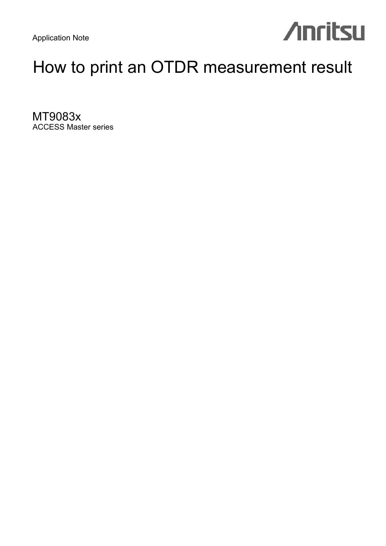Application Note

# **Anritsu**

# How to print an OTDR measurement result

MT9083x ACCESS Master series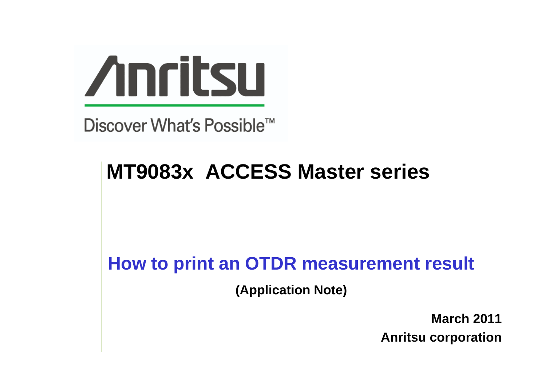

Discover What's Possible™

# **MT9083x ACCESS Master series**

# **How to print an OTDR measurement result**

**(Application Note)**

**March 2011 Anritsu corporation**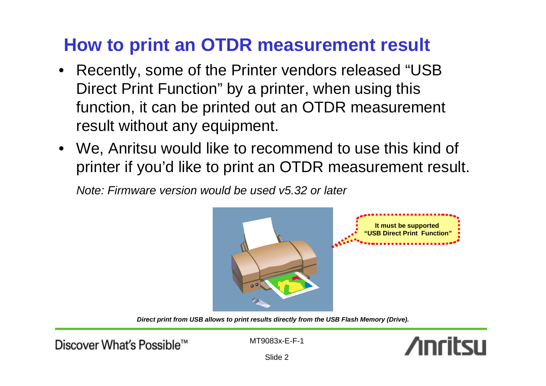# **How to print an OTDR measurement result**

- Recently, some of the Printer vendors released "USB Direct Print Function" by a printer, when using this function, it can be printed out an OTDR measurement result without any equipment.
- We, Anritsu would like to recommend to use this kind of printer if you'd like to print an OTDR measurement result.

*Note: Firmware version would be used v5.32 or later*



*Direct print from USB allows to print results directly from the USB Flash Memory (Drive).* 

Discover What's Possible™

MT9083x-E-F-1



Slide 2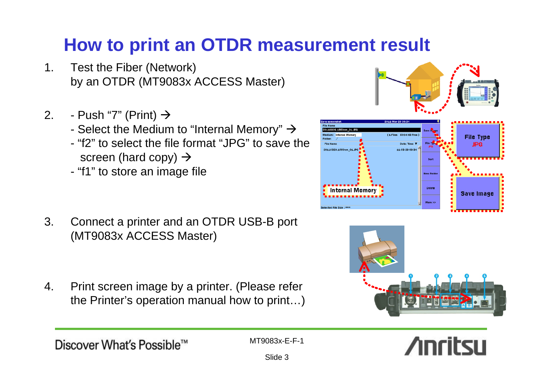# **How to print an OTDR measurement result**

- 1. Test the Fiber (Network) by an OTDR (MT9083x ACCESS Master)
- 2. Push "7" (Print)  $\rightarrow$ 
	- Select the Medium to "Internal Memory"  $\rightarrow$
	- "f2" to select the file format "JPG" to save the screen (hard copy)  $\rightarrow$
	- "f1" to store an image file

- 3. Connect a printer and an OTDR USB-B port (MT9083x ACCESS Master)
- 4. Print screen image by a printer. (Please refer the Printer's operation manual how to print…)

Slide 3







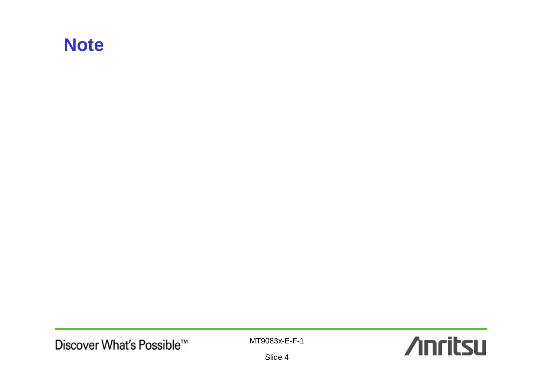# **Note**

MT9083x-E-F-1



Slide 4